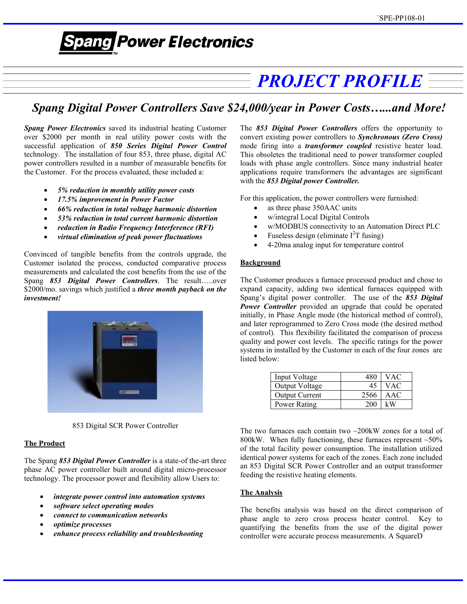# **Spang Power Electronics**

## *PROJECT PROFILE*

### *Spang Digital Power Controllers Save \$24,000/year in Power Costs…...and More!*

*Spang Power Electronics* saved its industrial heating Customer over \$2000 per month in real utility power costs with the successful application of *850 Series Digital Power Control* technology. The installation of four 853, three phase, digital AC power controllers resulted in a number of measurable benefits for the Customer. For the process evaluated, these included a:

- *5% reduction in monthly utility power costs*
- 
- *66% reduction in total voltage harmonic distortion* as three phase 350AAC units
- 53% reduction in total current harmonic distortion **·** *v* w/integral Local Digital Controls
- 
- *virtual elimination of peak power fluctuations*

Convinced of tangible benefits from the controls upgrade, the Customer isolated the process, conducted comparative process measurements and calculated the cost benefits from the use of the Spang *853 Digital Power Controllers*. The result…..over \$2000/mo. savings which justified a *three month payback on the investment!*



853 Digital SCR Power Controller

#### **The Product**

The Spang *853 Digital Power Controller* is a state-of the-art three phase AC power controller built around digital micro-processor technology. The processor power and flexibility allow Users to:

- *integrate power control into automation systems*
- 
- *connect to communication networks*
- *optimize processes*
- *enhance process reliability and troubleshooting*

The *853 Digital Power Controllers* offers the opportunity to convert existing power controllers to *Synchronous (Zero Cross)*  mode firing into a *transformer coupled* resistive heater load. This obsoletes the traditional need to power transformer coupled loads with phase angle controllers. Since many industrial heater applications require transformers the advantages are significant with the *853 Digital power Controller.* 

17.5% *improvement in Power Factor in For this application, the power controllers were furnished:* 

- 
- 
- **reduction in Radio Frequency Interference (RFI)**<br> **•** w/MODBUS connectivity to an Automation Direct PLC<br> **•** Fuseless design (eliminate I<sup>2</sup>T fusing)
	-
	- 4-20ma analog input for temperature control

#### **Background**

The Customer produces a furnace processed product and chose to expand capacity, adding two identical furnaces equipped with Spang's digital power controller. The use of the *853 Digital Power Controller* provided an upgrade that could be operated initially, in Phase Angle mode (the historical method of control), and later reprogrammed to Zero Cross mode (the desired method of control). This flexibility facilitated the comparison of process quality and power cost levels. The specific ratings for the power systems in installed by the Customer in each of the four zones are listed below:

| Input Voltage         |      | VAC |
|-----------------------|------|-----|
| Output Voltage        | 45   | VAC |
| <b>Output Current</b> | 2566 | AAC |
| Power Rating          |      |     |

The two furnaces each contain two  $\sim$ 200kW zones for a total of 800kW. When fully functioning, these furnaces represent  $~50\%$ of the total facility power consumption. The installation utilized identical power systems for each of the zones. Each zone included an 853 Digital SCR Power Controller and an output transformer feeding the resistive heating elements.

#### **The Analysis**

*software select operating modes* The benefits analysis was based on the direct comparison of phase angle to zero cross process heater control. Key to quantifying the benefits from the use of the digital power controller were accurate process measurements. A SquareD